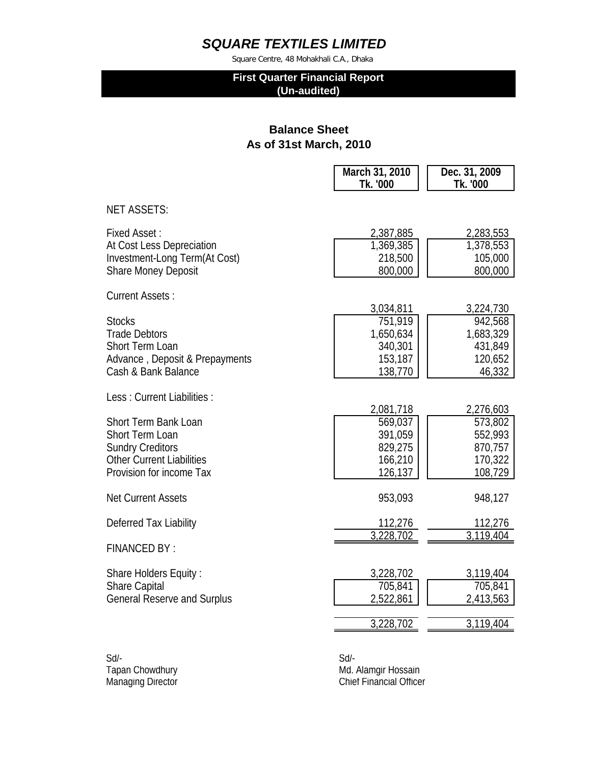Square Centre, 48 Mohakhali C.A., Dhaka

## **First Quarter Financial Report (Un-audited)**

## **Balance Sheet As of 31st March, 2010**

|                                                | March 31, 2010<br>Tk. '000 | Dec. 31, 2009<br>Tk. '000 |
|------------------------------------------------|----------------------------|---------------------------|
| <b>NET ASSETS:</b>                             |                            |                           |
| <b>Fixed Asset:</b>                            | 2,387,885                  | 2,283,553                 |
| At Cost Less Depreciation                      | 1,369,385                  | 1,378,553                 |
| Investment-Long Term(At Cost)                  | 218,500                    | 105,000                   |
| <b>Share Money Deposit</b>                     | 800,000                    | 800,000                   |
| <b>Current Assets:</b>                         |                            |                           |
|                                                | 3,034,811                  | 3,224,730                 |
| <b>Stocks</b>                                  | 751,919                    | 942,568                   |
| <b>Trade Debtors</b><br><b>Short Term Loan</b> | 1,650,634                  | 1,683,329<br>431,849      |
| Advance, Deposit & Prepayments                 | 340,301<br>153,187         | 120,652                   |
| Cash & Bank Balance                            | 138,770                    | 46,332                    |
| Less: Current Liabilities:                     |                            |                           |
|                                                | 2,081,718                  | 2,276,603                 |
| <b>Short Term Bank Loan</b><br>Short Term Loan | 569,037<br>391,059         | 573,802<br>552,993        |
| <b>Sundry Creditors</b>                        | 829,275                    | 870,757                   |
| <b>Other Current Liabilities</b>               | 166,210                    | 170,322                   |
| Provision for income Tax                       | 126,137                    | 108,729                   |
| <b>Net Current Assets</b>                      | 953,093                    | 948,127                   |
| Deferred Tax Liability                         | 112,276                    | 112,276                   |
|                                                | 3,228,702                  | 3,119,404                 |
| <b>FINANCED BY:</b>                            |                            |                           |
| Share Holders Equity:                          | 3,228,702                  | 3,119,404                 |
| <b>Share Capital</b>                           | 705,841                    | 705,841                   |
| <b>General Reserve and Surplus</b>             | 2,522,861                  | 2,413,563                 |
|                                                | 3,228,702                  | 3,119,404                 |
|                                                |                            |                           |

Sd/- Sd/-

Tapan Chowdhury Managing Director Chomes and China China China China China China China China China China China China China China China China China China China China China China China China China China China China China Chi Chief Financial Officer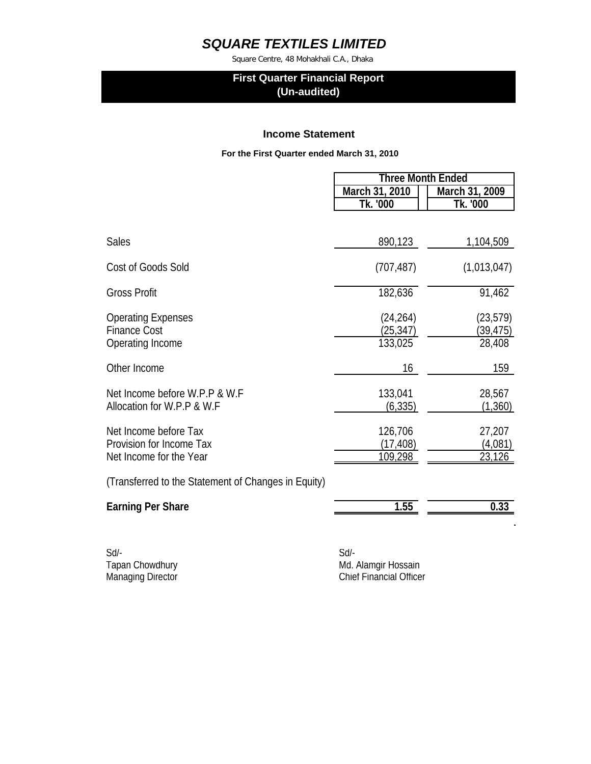Square Centre, 48 Mohakhali C.A., Dhaka

### **First Quarter Financial Report (Un-audited)**

#### **Income Statement**

 **For the First Quarter ended March 31, 2010**

|                                                     | <b>Three Month Ended</b> |                |
|-----------------------------------------------------|--------------------------|----------------|
|                                                     | March 31, 2010           | March 31, 2009 |
|                                                     | Tk. '000                 | Tk. '000       |
|                                                     |                          |                |
| <b>Sales</b>                                        | 890,123                  | 1,104,509      |
| <b>Cost of Goods Sold</b>                           | (707, 487)               | (1,013,047)    |
| <b>Gross Profit</b>                                 | 182,636                  | 91,462         |
| <b>Operating Expenses</b>                           | (24, 264)                | (23, 579)      |
| <b>Finance Cost</b>                                 | (25,347)                 | (39, 475)      |
| Operating Income                                    | 133,025                  | 28,408         |
| Other Income                                        | 16                       | 159            |
| Net Income before W.P.P & W.F                       | 133,041                  | 28,567         |
| Allocation for W.P.P & W.F                          | (6, 335)                 | (1,360)        |
| Net Income before Tax                               | 126,706                  | 27,207         |
| Provision for Income Tax                            | (17,408)                 | (4,081)        |
| Net Income for the Year                             | 109,298                  | 23,126         |
| (Transferred to the Statement of Changes in Equity) |                          |                |
| <b>Earning Per Share</b>                            | 1.55                     | 0.33           |
|                                                     |                          |                |

Sd/- Sd/-

Tapan Chowdhury **Maximum Chowdhury** Md. Alamgir Hossain Managing Director Managing Director Chief Financial Officer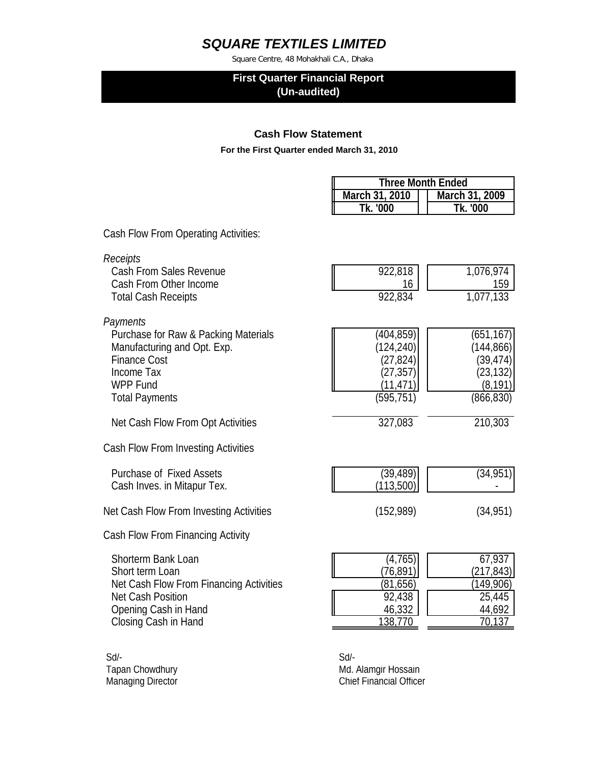Square Centre, 48 Mohakhali C.A., Dhaka

### **First Quarter Financial Report (Un-audited)**

### **Cash Flow Statement**

 **For the First Quarter ended March 31, 2010**

| <b>Three Month Ended</b> |                |  |
|--------------------------|----------------|--|
| March 31, 2010           | March 31, 2009 |  |
| Tk. '000                 | Tk '000        |  |

Cash Flow From Operating Activities:

| Receipts<br><b>Cash From Sales Revenue</b><br>Cash From Other Income<br><b>Total Cash Receipts</b>                                                                  | 922,818<br>16<br>922,834                                                     | 1,076,974<br>159<br>1,077,133                                               |
|---------------------------------------------------------------------------------------------------------------------------------------------------------------------|------------------------------------------------------------------------------|-----------------------------------------------------------------------------|
| Payments<br>Purchase for Raw & Packing Materials<br>Manufacturing and Opt. Exp.<br><b>Finance Cost</b><br>Income Tax<br><b>WPP Fund</b><br><b>Total Payments</b>    | (404, 859)<br>(124, 240)<br>(27, 824)<br>(27, 357)<br>(11,471)<br>(595, 751) | (651, 167)<br>(144, 866)<br>(39,474)<br>(23, 132)<br>(8, 191)<br>(866, 830) |
| Net Cash Flow From Opt Activities                                                                                                                                   | 327,083                                                                      | 210,303                                                                     |
| Cash Flow From Investing Activities                                                                                                                                 |                                                                              |                                                                             |
| <b>Purchase of Fixed Assets</b><br>Cash Inves. in Mitapur Tex.                                                                                                      | (39, 489)<br>(113,500)                                                       | (34, 951)                                                                   |
| Net Cash Flow From Investing Activities                                                                                                                             | (152, 989)                                                                   | (34, 951)                                                                   |
| Cash Flow From Financing Activity                                                                                                                                   |                                                                              |                                                                             |
| <b>Shorterm Bank Loan</b><br>Short term Loan<br>Net Cash Flow From Financing Activities<br><b>Net Cash Position</b><br>Opening Cash in Hand<br>Closing Cash in Hand | (4,765)<br>(76,891) <br>(81, 656)<br>92,438<br>46,332<br><u>138,770</u>      | 67,937<br>(217,843)<br>(149,906)<br>25,445<br>44,692<br>70,137              |

Sd/- Sd/-

Tapan Chowdhury **Maximum Chowdhury** Md. Alamgir Hossain Managing Director Managing Director Chief Financial Officer